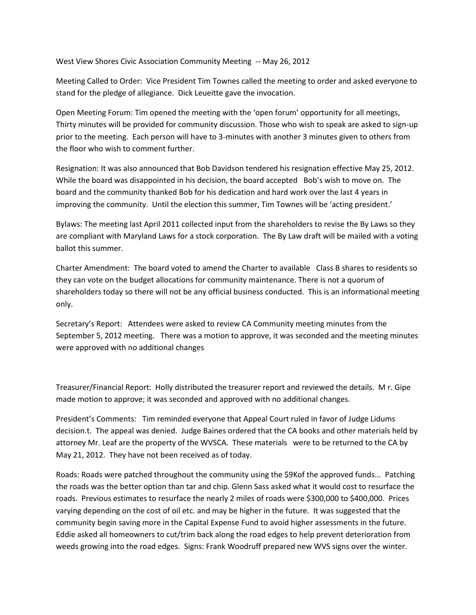West View Shores Civic Association Community Meeting -- May 26, 2012

Meeting Called to Order: Vice President Tim Townes called the meeting to order and asked everyone to stand for the pledge of allegiance. Dick Leueitte gave the invocation.

Open Meeting Forum: Tim opened the meeting with the 'open forum' opportunity for all meetings, Thirty minutes will be provided for community discussion. Those who wish to speak are asked to sign-up prior to the meeting. Each person will have to 3-minutes with another 3 minutes given to others from the floor who wish to comment further.

Resignation: It was also announced that Bob Davidson tendered his resignation effective May 25, 2012. While the board was disappointed in his decision, the board accepted Bob's wish to move on. The board and the community thanked Bob for his dedication and hard work over the last 4 years in improving the community. Until the election this summer, Tim Townes will be 'acting president.'

Bylaws: The meeting last April 2011 collected input from the shareholders to revise the By Laws so they are compliant with Maryland Laws for a stock corporation. The By Law draft will be mailed with a voting ballot this summer.

Charter Amendment: The board voted to amend the Charter to available Class B shares to residents so they can vote on the budget allocations for community maintenance. There is not a quorum of shareholders today so there will not be any official business conducted. This is an informational meeting only.

Secretary's Report: Attendees were asked to review CA Community meeting minutes from the September 5, 2012 meeting. There was a motion to approve, it was seconded and the meeting minutes were approved with no additional changes

Treasurer/Financial Report: Holly distributed the treasurer report and reviewed the details. M r. Gipe made motion to approve; it was seconded and approved with no additional changes.

President's Comments: Tim reminded everyone that Appeal Court ruled in favor of Judge Lidums decision.t. The appeal was denied. Judge Baines ordered that the CA books and other materials held by attorney Mr. Leaf are the property of the WVSCA. These materials were to be returned to the CA by May 21, 2012. They have not been received as of today.

Roads: Roads were patched throughout the community using the \$9Kof the approved funds... Patching the roads was the better option than tar and chip. Glenn Sass asked what it would cost to resurface the roads. Previous estimates to resurface the nearly 2 miles of roads were \$300,000 to \$400,000. Prices varying depending on the cost of oil etc. and may be higher in the future. It was suggested that the community begin saving more in the Capital Expense Fund to avoid higher assessments in the future. Eddie asked all homeowners to cut/trim back along the road edges to help prevent deterioration from weeds growing into the road edges. Signs: Frank Woodruff prepared new WVS signs over the winter.